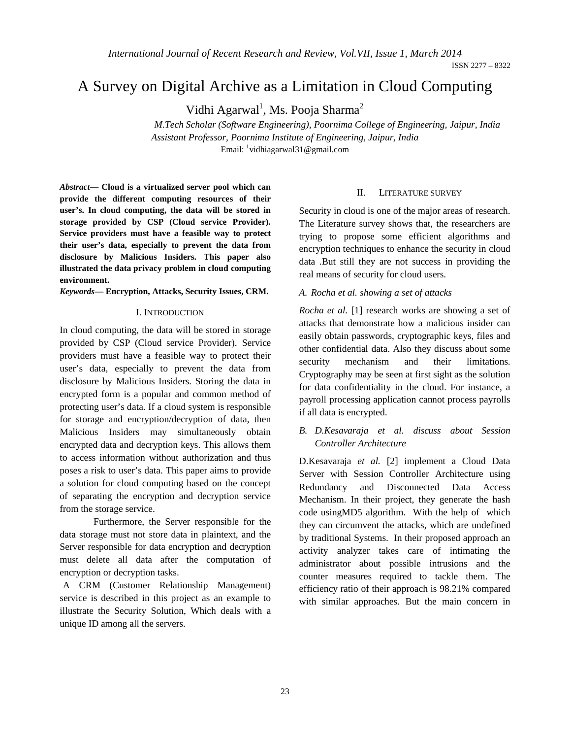# A Survey on Digital Archive as a Limitation in Cloud Computing

Vidhi Agarwal<sup>1</sup>, Ms. Pooja Sharma<sup>2</sup>

*M.Tech Scholar (Software Engineering), Poornima College of Engineering, Jaipur, India Assistant Professor, Poornima Institute of Engineering, Jaipur, India* Email: <sup>1</sup>vidhiagarwal31@gmail.com

*Abstract***— Cloud is a virtualized server pool which can provide the different computing resources of their user's. In cloud computing, the data will be stored in storage provided by CSP (Cloud service Provider). Service providers must have a feasible way to protect their user's data, especially to prevent the data from disclosure by Malicious Insiders. This paper also illustrated the data privacy problem in cloud computing environment.**

*Keywords***— Encryption, Attacks, Security Issues, CRM.**

#### I. INTRODUCTION

In cloud computing, the data will be stored in storage provided by CSP (Cloud service Provider). Service providers must have a feasible way to protect their user's data, especially to prevent the data from disclosure by Malicious Insiders. Storing the data in encrypted form is a popular and common method of protecting user's data. If a cloud system is responsible for storage and encryption/decryption of data, then Malicious Insiders may simultaneously obtain encrypted data and decryption keys. This allows them to access information without authorization and thus poses a risk to user's data. This paper aims to provide a solution for cloud computing based on the concept of separating the encryption and decryption service from the storage service.

 Furthermore, the Server responsible for the data storage must not store data in plaintext, and the Server responsible for data encryption and decryption must delete all data after the computation of encryption or decryption tasks.

 A CRM (Customer Relationship Management) service is described in this project as an example to illustrate the Security Solution, Which deals with a unique ID among all the servers.

#### II. LITERATURE SURVEY

Security in cloud is one of the major areas of research. The Literature survey shows that, the researchers are trying to propose some efficient algorithms and encryption techniques to enhance the security in cloud data .But still they are not success in providing the real means of security for cloud users.

#### *A. Rocha et al. showing a set of attacks*

*Rocha et al.* [1] research works are showing a set of attacks that demonstrate how a malicious insider can easily obtain passwords, cryptographic keys, files and other confidential data. Also they discuss about some security mechanism and their limitations. Cryptography may be seen at first sight as the solution for data confidentiality in the cloud. For instance, a payroll processing application cannot process payrolls if all data is encrypted.

*B. D.Kesavaraja et al. discuss about Session Controller Architecture*

D.Kesavaraja *et al.* [2] implement a Cloud Data Server with Session Controller Architecture using Redundancy and Disconnected Data Access Mechanism. In their project, they generate the hash code usingMD5 algorithm. With the help of which they can circumvent the attacks, which are undefined by traditional Systems. In their proposed approach an activity analyzer takes care of intimating the administrator about possible intrusions and the counter measures required to tackle them. The efficiency ratio of their approach is 98.21% compared with similar approaches. But the main concern in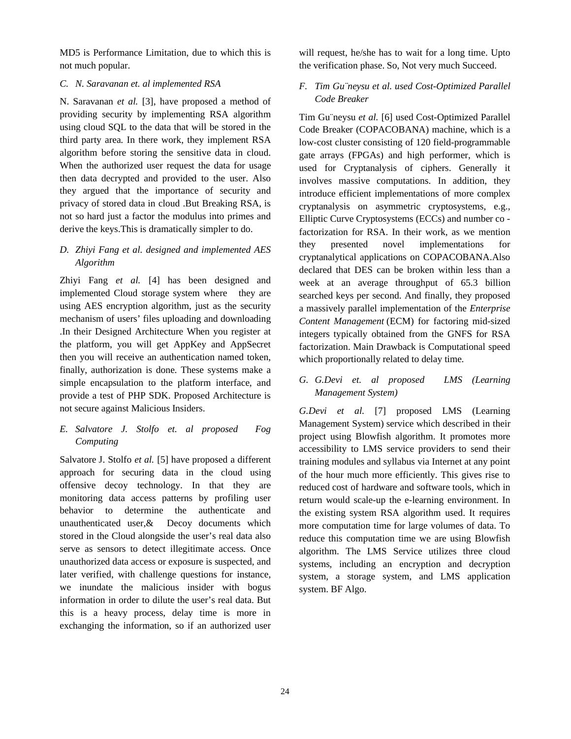MD5 is Performance Limitation, due to which this is not much popular.

### *C. N. Saravanan et. al implemented RSA*

N. Saravanan *et al.* [3], have proposed a method of providing security by implementing RSA algorithm using cloud SQL to the data that will be stored in the third party area. In there work, they implement RSA algorithm before storing the sensitive data in cloud. When the authorized user request the data for usage then data decrypted and provided to the user. Also they argued that the importance of security and privacy of stored data in cloud .But Breaking RSA, is not so hard just a factor the modulus into primes and derive the keys.This is dramatically simpler to do.

## *D. Zhiyi Fang et al. designed and implemented AES Algorithm*

Zhiyi Fang *et al.* [4] has been designed and implemented Cloud storage system where they are using AES encryption algorithm, just as the security mechanism of users' files uploading and downloading .In their Designed Architecture When you register at the platform, you will get AppKey and AppSecret then you will receive an authentication named token, finally, authorization is done. These systems make a simple encapsulation to the platform interface, and provide a test of PHP SDK. Proposed Architecture is not secure against Malicious Insiders.

## *E. Salvatore J. Stolfo et. al proposed Fog Computing*

Salvatore J. Stolfo *et al.* [5] have proposed a different approach for securing data in the cloud using offensive decoy technology. In that they are monitoring data access patterns by profiling user behavior to determine the authenticate and unauthenticated user,& Decoy documents which stored in the Cloud alongside the user's real data also serve as sensors to detect illegitimate access. Once unauthorized data access or exposure is suspected, and later verified, with challenge questions for instance, we inundate the malicious insider with bogus information in order to dilute the user's real data. But this is a heavy process, delay time is more in exchanging the information, so if an authorized user will request, he/she has to wait for a long time. Upto the verification phase. So, Not very much Succeed.

## *F. Tim Gu¨neysu et al. used Cost-Optimized Parallel Code Breaker*

Tim Gu¨neysu *et al.* [6] used Cost-Optimized Parallel Code Breaker (COPACOBANA) machine, which is a low-cost cluster consisting of 120 field-programmable gate arrays (FPGAs) and high performer, which is used for Cryptanalysis of ciphers. Generally it involves massive computations. In addition, they introduce efficient implementations of more complex cryptanalysis on asymmetric cryptosystems, e.g., Elliptic Curve Cryptosystems (ECCs) and number co factorization for RSA. In their work, as we mention they presented novel implementations for cryptanalytical applications on COPACOBANA.Also declared that DES can be broken within less than a week at an average throughput of 65.3 billion searched keys per second. And finally, they proposed a massively parallel implementation of the *Enterprise Content Management* (ECM) for factoring mid-sized integers typically obtained from the GNFS for RSA factorization. Main Drawback is Computational speed which proportionally related to delay time.

## *G. G.Devi et. al proposed LMS (Learning Management System)*

*G.Devi et al.* [7] proposed LMS (Learning Management System) service which described in their project using Blowfish algorithm. It promotes more accessibility to LMS service providers to send their training modules and syllabus via Internet at any point of the hour much more efficiently. This gives rise to reduced cost of hardware and software tools, which in return would scale-up the e-learning environment. In the existing system RSA algorithm used. It requires more computation time for large volumes of data. To reduce this computation time we are using Blowfish algorithm. The LMS Service utilizes three cloud systems, including an encryption and decryption system, a storage system, and LMS application system. BF Algo.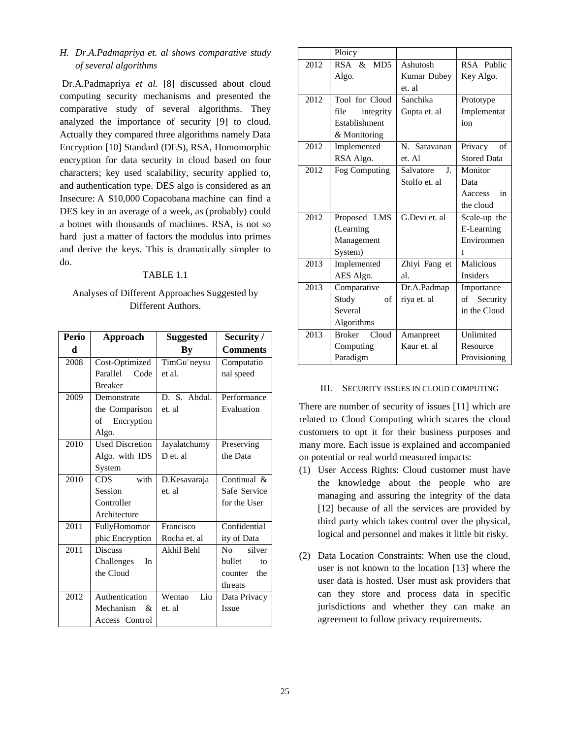## *H. Dr.A.Padmapriya et. al shows comparative study of several algorithms*

Dr.A.Padmapriya *et al.* [8] discussed about cloud computing security mechanisms and presented the comparative study of several algorithms. They analyzed the importance of security [9] to cloud. Actually they compared three algorithms namely Data Encryption [10] Standard (DES), RSA, Homomorphic encryption for data security in cloud based on four characters; key used scalability, security applied to, and authentication type. DES algo is considered as an Insecure: A \$10,000 Copacobana machine can find a DES key in an average of a week, as (probably) could a botnet with thousands of machines. RSA, is not so hard just a matter of factors the modulus into primes and derive the keys. This is dramatically simpler to do.

#### TABLE 1.1

## Analyses of Different Approaches Suggested by Different Authors.

| Perio | <b>Approach</b>                          | <b>Suggested</b> | Security /      |
|-------|------------------------------------------|------------------|-----------------|
| d     |                                          | By               | <b>Comments</b> |
| 2008  | Cost-Optimized                           | TimGu"neysu      | Computatio      |
|       | Parallel<br>Code                         | et al.           | nal speed       |
|       | <b>Breaker</b>                           |                  |                 |
| 2009  | Demonstrate                              | D. S. Abdul.     | Performance     |
|       | the Comparison                           | et. al           | Evaluation      |
|       | of Encryption                            |                  |                 |
|       | Algo.                                    |                  |                 |
| 2010  | <b>Used Discretion</b>                   | Jayalatchumy     | Preserving      |
|       | Algo. with IDS                           | D et. al         | the Data        |
|       | System                                   |                  |                 |
| 2010  | with<br>CDS.                             | D.Kesavaraja     | Continual &     |
|       | Session                                  | et. al           | Safe Service    |
|       | Controller                               |                  | for the User    |
|       | Architecture                             |                  |                 |
| 2011  | FullyHomomor                             | Francisco        | Confidential    |
|       | phic Encryption                          | Rocha et. al     | ity of Data     |
| 2011  | <b>Discuss</b>                           | Akhil Behl       | silver<br>No    |
|       | Challenges<br>In                         |                  | bullet<br>to    |
|       | the Cloud                                |                  | the<br>counter  |
|       |                                          |                  | threats         |
| 2012  | Authentication                           | Liu<br>Wentao    | Data Privacy    |
|       | Mechanism<br>$\mathcal{R}_{\mathcal{I}}$ | et. al           | <b>Issue</b>    |
|       | Access Control                           |                  |                 |

|      | Ploicy                 |                             |                    |
|------|------------------------|-----------------------------|--------------------|
| 2012 | $RSA \&$<br>MD5        | Ashutosh                    | RSA Public         |
|      | Algo.                  | Kumar Dubey                 | Key Algo.          |
|      |                        | et. al                      |                    |
| 2012 | Tool for Cloud         | Sanchika                    | Prototype          |
|      | integrity<br>file      | Gupta et. al                | Implementat        |
|      | Establishment          |                             | ion                |
|      | & Monitoring           |                             |                    |
| 2012 | Implemented            | N. Saravanan                | Privacy<br>of      |
|      | RSA Algo.              | et. Al                      | <b>Stored Data</b> |
| 2012 | Fog Computing          | $\mathbf{I}$ .<br>Salvatore | Monitor            |
|      |                        | Stolfo et. al               | Data               |
|      |                        |                             | Aaccess<br>in      |
|      |                        |                             | the cloud          |
| 2012 | Proposed LMS           | G.Devi et. al               | Scale-up the       |
|      | (Learning              |                             | E-Learning         |
|      | Management             |                             | Environmen         |
|      | System)                |                             | t                  |
| 2013 | Implemented            | Zhiyi Fang et               | <b>Malicious</b>   |
|      | AES Algo.              | al.                         | <b>Insiders</b>    |
| 2013 | Comparative            | Dr.A.Padmap                 | Importance         |
|      | Study<br>of            | riya et. al                 | Security<br>of     |
|      | Several                |                             | in the Cloud       |
|      | Algorithms             |                             |                    |
| 2013 | <b>Broker</b><br>Cloud | Amanpreet                   | Unlimited          |
|      | Computing              | Kaur et. al                 | Resource           |
|      | Paradigm               |                             | Provisioning       |

#### III. SECURITY ISSUES IN CLOUD COMPUTING

There are number of security of issues [11] which are related to Cloud Computing which scares the cloud customers to opt it for their business purposes and many more. Each issue is explained and accompanied on potential or real world measured impacts:

- (1) User Access Rights: Cloud customer must have the knowledge about the people who are managing and assuring the integrity of the data [12] because of all the services are provided by third party which takes control over the physical, logical and personnel and makes it little bit risky.
- (2) Data Location Constraints: When use the cloud, user is not known to the location [13] where the user data is hosted. User must ask providers that can they store and process data in specific jurisdictions and whether they can make an agreement to follow privacy requirements.